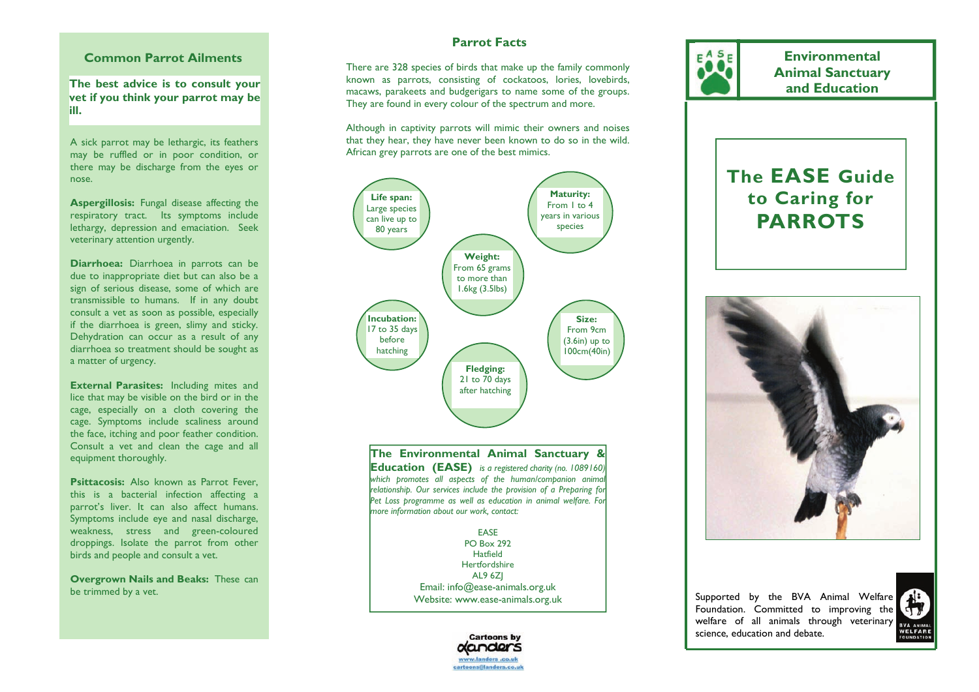# **Common Parrot Ailments**

**The best advice is to consult your vet if you think your parrot may be ill.** 

A sick parrot may be lethargic, its feathers may be ruffled or in poor condition, or there may be discharge from the eyes or nose.

**Aspergillosis:** Fungal disease affecting the respiratory tract. Its symptoms include lethargy, depression and emaciation. Seek veterinary attention urgently.

**Diarrhoea:** Diarrhoea in parrots can be due to inappropriate diet but can also be a sign of serious disease, some of which are transmissible to humans. If in any doubt consult a vet as soon as possible, especially if the diarrhoea is green, slimy and sticky. Dehydration can occur as a result of any diarrhoea so treatment should be sought as a matter of urgency.

**External Parasites:** Including mites and lice that may be visible on the bird or in the cage, especially on a cloth covering the cage. Symptoms include scaliness around the face, itching and poor feather condition. Consult a vet and clean the cage and all equipment thoroughly.

**Psittacosis:** Also known as Parrot Fever, this is a bacterial infection affecting a parrot's liver. It can also affect humans. Symptoms include eye and nasal discharge, weakness, stress and green-coloured droppings. Isolate the parrot from other birds and people and consult a vet.

**Overgrown Nails and Beaks:** These can be trimmed by a vet.

# **Parrot Facts**

There are 328 species of birds that make up the family commonly known as parrots, consisting of cockatoos, lories, lovebirds, macaws, parakeets and budgerigars to name some of the groups. They are found in every colour of the spectrum and more.

Although in captivity parrots will mimic their owners and noises that they hear, they have never been known to do so in the wild. African grey parrots are one of the best mimics.



**The Environmental Animal Sanctuary & Education (EASE)** *is a registered charity (no. 1089160) which promotes all aspects of the human/companion animal relationship. Our services include the provision of a Preparing for Pet Loss programme as well as education in animal welfare. For more information about our work, contact:* 

> EASE PO Box 292 Hatfield Hertfordshire AL9 6ZJ Email: info@ease-animals.org.uk Website: www.ease-animals.org.uk



**The EASE Guide** 

**Environmental Animal Sanctuary and Education** 

**to Caring for PARROTS** 



Supported by the BVA Animal Welfare Foundation. Committed to improving the welfare of all animals through veterinary science, education and debate.